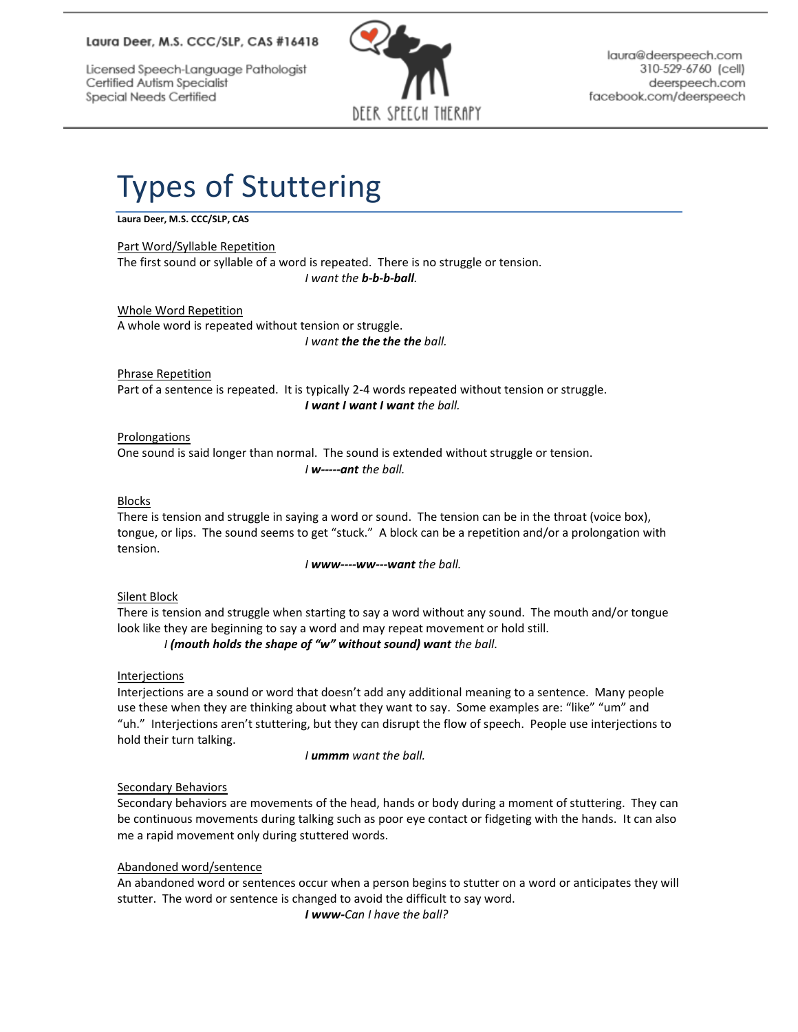## Laura Deer, M.S. CCC/SLP, CAS #16418

Licensed Speech-Language Pathologist Certified Autism Specialist Special Needs Certified



laura@deerspeech.com 310-529-6760 (cell) deerspeech.com facebook.com/deerspeech

# Types of Stuttering

## **Laura Deer, M.S. CCC/SLP, CAS**

#### Part Word/Syllable Repetition

The first sound or syllable of a word is repeated. There is no struggle or tension. *I want the b-b-b-ball.*

Whole Word Repetition A whole word is repeated without tension or struggle. *I want the the the the ball.*

Phrase Repetition Part of a sentence is repeated. It is typically 2-4 words repeated without tension or struggle. *I want I want I want the ball.*

#### Prolongations One sound is said longer than normal. The sound is extended without struggle or tension. *I w-----ant the ball.*

#### Blocks

There is tension and struggle in saying a word or sound. The tension can be in the throat (voice box), tongue, or lips. The sound seems to get "stuck." A block can be a repetition and/or a prolongation with tension.

*I www----ww---want the ball.*

### Silent Block

There is tension and struggle when starting to say a word without any sound. The mouth and/or tongue look like they are beginning to say a word and may repeat movement or hold still.

## *I (mouth holds the shape of "w" without sound) want the ball.*

### Interjections

Interjections are a sound or word that doesn't add any additional meaning to a sentence. Many people use these when they are thinking about what they want to say. Some examples are: "like" "um" and "uh." Interjections aren't stuttering, but they can disrupt the flow of speech. People use interjections to hold their turn talking.

*I ummm want the ball.*

### Secondary Behaviors

Secondary behaviors are movements of the head, hands or body during a moment of stuttering. They can be continuous movements during talking such as poor eye contact or fidgeting with the hands. It can also me a rapid movement only during stuttered words.

### Abandoned word/sentence

An abandoned word or sentences occur when a person begins to stutter on a word or anticipates they will stutter. The word or sentence is changed to avoid the difficult to say word. *I www-Can I have the ball?*